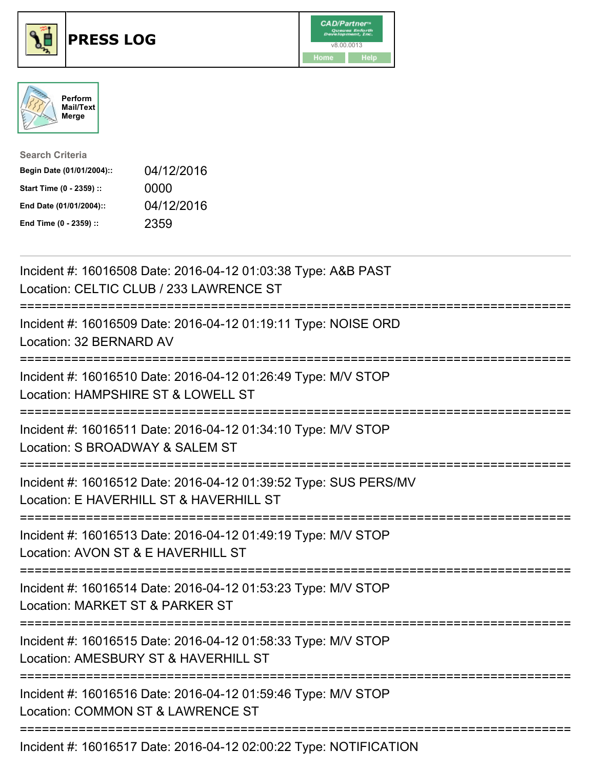





| <b>Search Criteria</b>    |            |
|---------------------------|------------|
| Begin Date (01/01/2004):: | 04/12/2016 |
| Start Time (0 - 2359) ::  | 0000       |
| End Date (01/01/2004)::   | 04/12/2016 |
| End Time (0 - 2359) ::    | 2359       |

| Incident #: 16016508 Date: 2016-04-12 01:03:38 Type: A&B PAST<br>Location: CELTIC CLUB / 233 LAWRENCE ST                                 |
|------------------------------------------------------------------------------------------------------------------------------------------|
| Incident #: 16016509 Date: 2016-04-12 01:19:11 Type: NOISE ORD<br>Location: 32 BERNARD AV                                                |
| Incident #: 16016510 Date: 2016-04-12 01:26:49 Type: M/V STOP<br>Location: HAMPSHIRE ST & LOWELL ST                                      |
| Incident #: 16016511 Date: 2016-04-12 01:34:10 Type: M/V STOP<br>Location: S BROADWAY & SALEM ST                                         |
| Incident #: 16016512 Date: 2016-04-12 01:39:52 Type: SUS PERS/MV<br>Location: E HAVERHILL ST & HAVERHILL ST                              |
| Incident #: 16016513 Date: 2016-04-12 01:49:19 Type: M/V STOP<br>Location: AVON ST & E HAVERHILL ST                                      |
| Incident #: 16016514 Date: 2016-04-12 01:53:23 Type: M/V STOP<br>Location: MARKET ST & PARKER ST<br>:================                    |
| Incident #: 16016515 Date: 2016-04-12 01:58:33 Type: M/V STOP<br>Location: AMESBURY ST & HAVERHILL ST<br>:============================== |
| Incident #: 16016516 Date: 2016-04-12 01:59:46 Type: M/V STOP<br>Location: COMMON ST & LAWRENCE ST                                       |
| :==========================<br>Incident #: 16016517 Date: 2016-04-12 02:00:22 Type: NOTIFICATION                                         |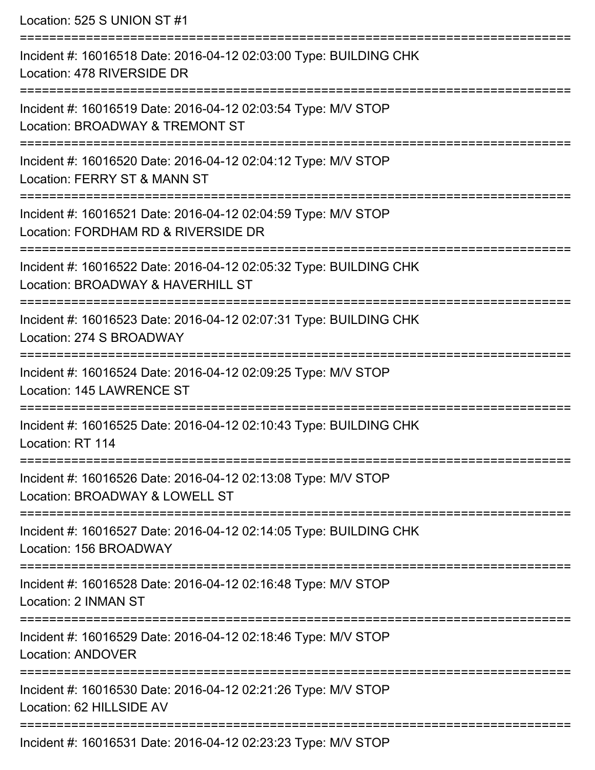Location: 525 S UNION ST #1

=========================================================================== Incident #: 16016518 Date: 2016-04-12 02:03:00 Type: BUILDING CHK Location: 478 RIVERSIDE DR =========================================================================== Incident #: 16016519 Date: 2016-04-12 02:03:54 Type: M/V STOP Location: BROADWAY & TREMONT ST =========================================================================== Incident #: 16016520 Date: 2016-04-12 02:04:12 Type: M/V STOP Location: FERRY ST & MANN ST =========================================================================== Incident #: 16016521 Date: 2016-04-12 02:04:59 Type: M/V STOP Location: FORDHAM RD & RIVERSIDE DR **=========================** Incident #: 16016522 Date: 2016-04-12 02:05:32 Type: BUILDING CHK Location: BROADWAY & HAVERHILL ST =========================================================================== Incident #: 16016523 Date: 2016-04-12 02:07:31 Type: BUILDING CHK Location: 274 S BROADWAY =========================================================================== Incident #: 16016524 Date: 2016-04-12 02:09:25 Type: M/V STOP Location: 145 LAWRENCE ST =========================================================================== Incident #: 16016525 Date: 2016-04-12 02:10:43 Type: BUILDING CHK Location: RT 114 =========================================================================== Incident #: 16016526 Date: 2016-04-12 02:13:08 Type: M/V STOP Location: BROADWAY & LOWELL ST =========================================================================== Incident #: 16016527 Date: 2016-04-12 02:14:05 Type: BUILDING CHK Location: 156 BROADWAY =========================================================================== Incident #: 16016528 Date: 2016-04-12 02:16:48 Type: M/V STOP Location: 2 INMAN ST =========================================================================== Incident #: 16016529 Date: 2016-04-12 02:18:46 Type: M/V STOP Location: ANDOVER =========================================================================== Incident #: 16016530 Date: 2016-04-12 02:21:26 Type: M/V STOP Location: 62 HILLSIDE AV =========================================================================== Incident #: 16016531 Date: 2016-04-12 02:23:23 Type: M/V STOP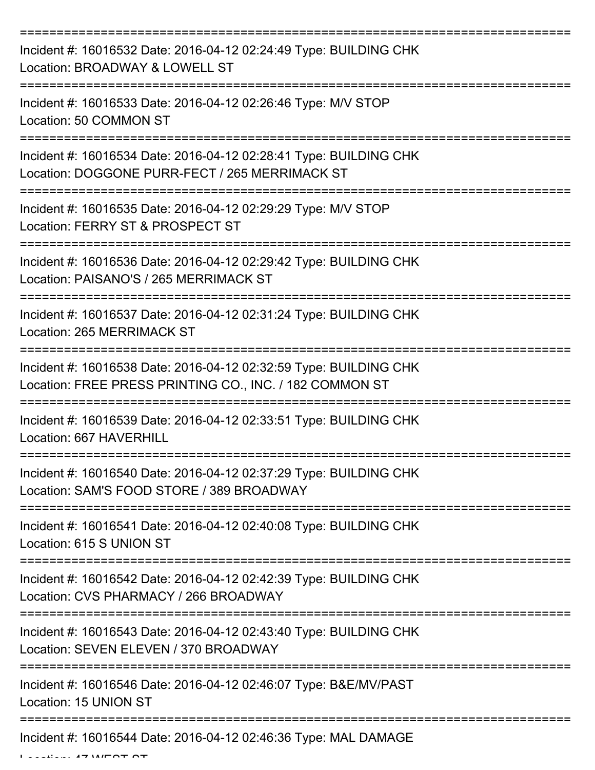| Incident #: 16016532 Date: 2016-04-12 02:24:49 Type: BUILDING CHK<br>Location: BROADWAY & LOWELL ST                          |
|------------------------------------------------------------------------------------------------------------------------------|
| Incident #: 16016533 Date: 2016-04-12 02:26:46 Type: M/V STOP<br>Location: 50 COMMON ST                                      |
| Incident #: 16016534 Date: 2016-04-12 02:28:41 Type: BUILDING CHK<br>Location: DOGGONE PURR-FECT / 265 MERRIMACK ST          |
| Incident #: 16016535 Date: 2016-04-12 02:29:29 Type: M/V STOP<br>Location: FERRY ST & PROSPECT ST                            |
| Incident #: 16016536 Date: 2016-04-12 02:29:42 Type: BUILDING CHK<br>Location: PAISANO'S / 265 MERRIMACK ST                  |
| Incident #: 16016537 Date: 2016-04-12 02:31:24 Type: BUILDING CHK<br>Location: 265 MERRIMACK ST                              |
| Incident #: 16016538 Date: 2016-04-12 02:32:59 Type: BUILDING CHK<br>Location: FREE PRESS PRINTING CO., INC. / 182 COMMON ST |
| Incident #: 16016539 Date: 2016-04-12 02:33:51 Type: BUILDING CHK<br>Location: 667 HAVERHILL                                 |
| Incident #: 16016540 Date: 2016-04-12 02:37:29 Type: BUILDING CHK<br>Location: SAM'S FOOD STORE / 389 BROADWAY               |
| Incident #: 16016541 Date: 2016-04-12 02:40:08 Type: BUILDING CHK<br>Location: 615 S UNION ST                                |
| Incident #: 16016542 Date: 2016-04-12 02:42:39 Type: BUILDING CHK<br>Location: CVS PHARMACY / 266 BROADWAY                   |
| Incident #: 16016543 Date: 2016-04-12 02:43:40 Type: BUILDING CHK<br>Location: SEVEN ELEVEN / 370 BROADWAY                   |
| Incident #: 16016546 Date: 2016-04-12 02:46:07 Type: B&E/MV/PAST<br>Location: 15 UNION ST                                    |
| Incident #: 16016544 Date: 2016-04-12 02:46:36 Type: MAL DAMAGE                                                              |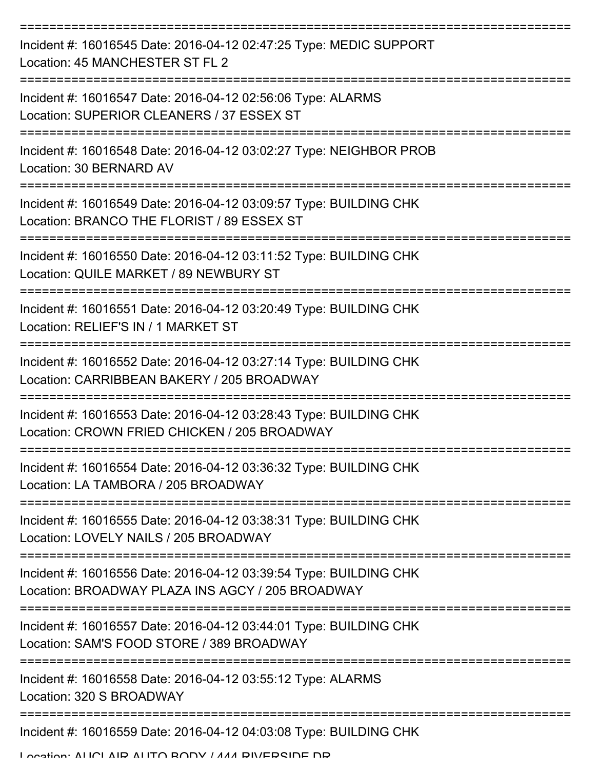| Incident #: 16016545 Date: 2016-04-12 02:47:25 Type: MEDIC SUPPORT<br>Location: 45 MANCHESTER ST FL 2                 |
|-----------------------------------------------------------------------------------------------------------------------|
| Incident #: 16016547 Date: 2016-04-12 02:56:06 Type: ALARMS<br>Location: SUPERIOR CLEANERS / 37 ESSEX ST              |
| Incident #: 16016548 Date: 2016-04-12 03:02:27 Type: NEIGHBOR PROB<br>Location: 30 BERNARD AV                         |
| Incident #: 16016549 Date: 2016-04-12 03:09:57 Type: BUILDING CHK<br>Location: BRANCO THE FLORIST / 89 ESSEX ST       |
| Incident #: 16016550 Date: 2016-04-12 03:11:52 Type: BUILDING CHK<br>Location: QUILE MARKET / 89 NEWBURY ST           |
| Incident #: 16016551 Date: 2016-04-12 03:20:49 Type: BUILDING CHK<br>Location: RELIEF'S IN / 1 MARKET ST              |
| Incident #: 16016552 Date: 2016-04-12 03:27:14 Type: BUILDING CHK<br>Location: CARRIBBEAN BAKERY / 205 BROADWAY       |
| Incident #: 16016553 Date: 2016-04-12 03:28:43 Type: BUILDING CHK<br>Location: CROWN FRIED CHICKEN / 205 BROADWAY     |
| Incident #: 16016554 Date: 2016-04-12 03:36:32 Type: BUILDING CHK<br>Location: LA TAMBORA / 205 BROADWAY              |
| Incident #: 16016555 Date: 2016-04-12 03:38:31 Type: BUILDING CHK<br>Location: LOVELY NAILS / 205 BROADWAY            |
| Incident #: 16016556 Date: 2016-04-12 03:39:54 Type: BUILDING CHK<br>Location: BROADWAY PLAZA INS AGCY / 205 BROADWAY |
| Incident #: 16016557 Date: 2016-04-12 03:44:01 Type: BUILDING CHK<br>Location: SAM'S FOOD STORE / 389 BROADWAY        |
| Incident #: 16016558 Date: 2016-04-12 03:55:12 Type: ALARMS<br>Location: 320 S BROADWAY                               |
| Incident #: 16016559 Date: 2016-04-12 04:03:08 Type: BUILDING CHK                                                     |

Location: ALICLAID ALITO BODY / 444 BIVEDSIDE DD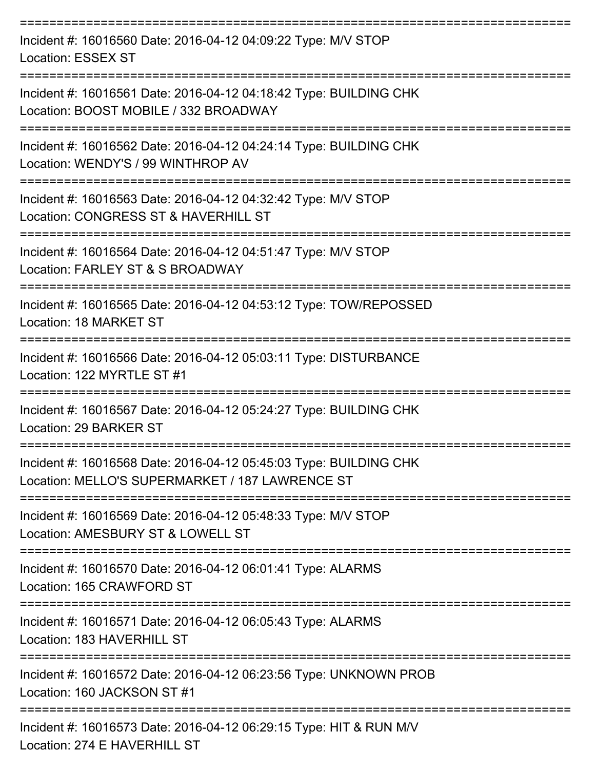| Incident #: 16016560 Date: 2016-04-12 04:09:22 Type: M/V STOP<br><b>Location: ESSEX ST</b>                           |
|----------------------------------------------------------------------------------------------------------------------|
| Incident #: 16016561 Date: 2016-04-12 04:18:42 Type: BUILDING CHK<br>Location: BOOST MOBILE / 332 BROADWAY           |
| Incident #: 16016562 Date: 2016-04-12 04:24:14 Type: BUILDING CHK<br>Location: WENDY'S / 99 WINTHROP AV              |
| Incident #: 16016563 Date: 2016-04-12 04:32:42 Type: M/V STOP<br>Location: CONGRESS ST & HAVERHILL ST                |
| Incident #: 16016564 Date: 2016-04-12 04:51:47 Type: M/V STOP<br>Location: FARLEY ST & S BROADWAY                    |
| Incident #: 16016565 Date: 2016-04-12 04:53:12 Type: TOW/REPOSSED<br>Location: 18 MARKET ST                          |
| Incident #: 16016566 Date: 2016-04-12 05:03:11 Type: DISTURBANCE<br>Location: 122 MYRTLE ST #1                       |
| Incident #: 16016567 Date: 2016-04-12 05:24:27 Type: BUILDING CHK<br>Location: 29 BARKER ST                          |
| Incident #: 16016568 Date: 2016-04-12 05:45:03 Type: BUILDING CHK<br>Location: MELLO'S SUPERMARKET / 187 LAWRENCE ST |
| Incident #: 16016569 Date: 2016-04-12 05:48:33 Type: M/V STOP<br>Location: AMESBURY ST & LOWELL ST                   |
| Incident #: 16016570 Date: 2016-04-12 06:01:41 Type: ALARMS<br>Location: 165 CRAWFORD ST                             |
| Incident #: 16016571 Date: 2016-04-12 06:05:43 Type: ALARMS<br>Location: 183 HAVERHILL ST                            |
| Incident #: 16016572 Date: 2016-04-12 06:23:56 Type: UNKNOWN PROB<br>Location: 160 JACKSON ST #1                     |
| Incident #: 16016573 Date: 2016-04-12 06:29:15 Type: HIT & RUN M/V<br>Location: 274 E HAVERHILL ST                   |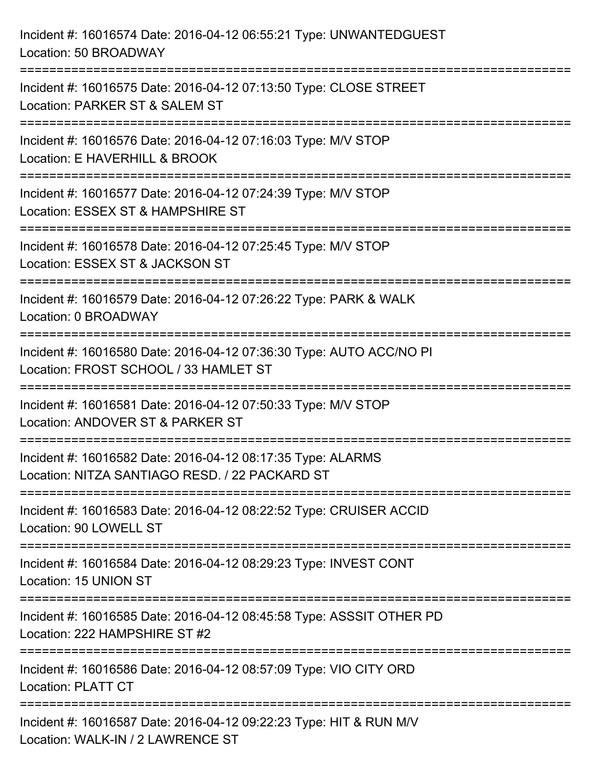| Incident #: 16016574 Date: 2016-04-12 06:55:21 Type: UNWANTEDGUEST<br>Location: 50 BROADWAY                                             |
|-----------------------------------------------------------------------------------------------------------------------------------------|
| Incident #: 16016575 Date: 2016-04-12 07:13:50 Type: CLOSE STREET<br>Location: PARKER ST & SALEM ST                                     |
| Incident #: 16016576 Date: 2016-04-12 07:16:03 Type: M/V STOP<br>Location: E HAVERHILL & BROOK<br>===================================   |
| Incident #: 16016577 Date: 2016-04-12 07:24:39 Type: M/V STOP<br>Location: ESSEX ST & HAMPSHIRE ST                                      |
| Incident #: 16016578 Date: 2016-04-12 07:25:45 Type: M/V STOP<br>Location: ESSEX ST & JACKSON ST<br>=================================== |
| Incident #: 16016579 Date: 2016-04-12 07:26:22 Type: PARK & WALK<br>Location: 0 BROADWAY                                                |
| Incident #: 16016580 Date: 2016-04-12 07:36:30 Type: AUTO ACC/NO PI<br>Location: FROST SCHOOL / 33 HAMLET ST                            |
| Incident #: 16016581 Date: 2016-04-12 07:50:33 Type: M/V STOP<br>Location: ANDOVER ST & PARKER ST                                       |
| Incident #: 16016582 Date: 2016-04-12 08:17:35 Type: ALARMS<br>Location: NITZA SANTIAGO RESD. / 22 PACKARD ST                           |
| Incident #: 16016583 Date: 2016-04-12 08:22:52 Type: CRUISER ACCID<br>Location: 90 LOWELL ST                                            |
| Incident #: 16016584 Date: 2016-04-12 08:29:23 Type: INVEST CONT<br>Location: 15 UNION ST                                               |
| Incident #: 16016585 Date: 2016-04-12 08:45:58 Type: ASSSIT OTHER PD<br>Location: 222 HAMPSHIRE ST #2                                   |
| Incident #: 16016586 Date: 2016-04-12 08:57:09 Type: VIO CITY ORD<br><b>Location: PLATT CT</b>                                          |
| Incident #: 16016587 Date: 2016-04-12 09:22:23 Type: HIT & RUN M/V<br>Location: WALK-IN / 2 LAWRENCE ST                                 |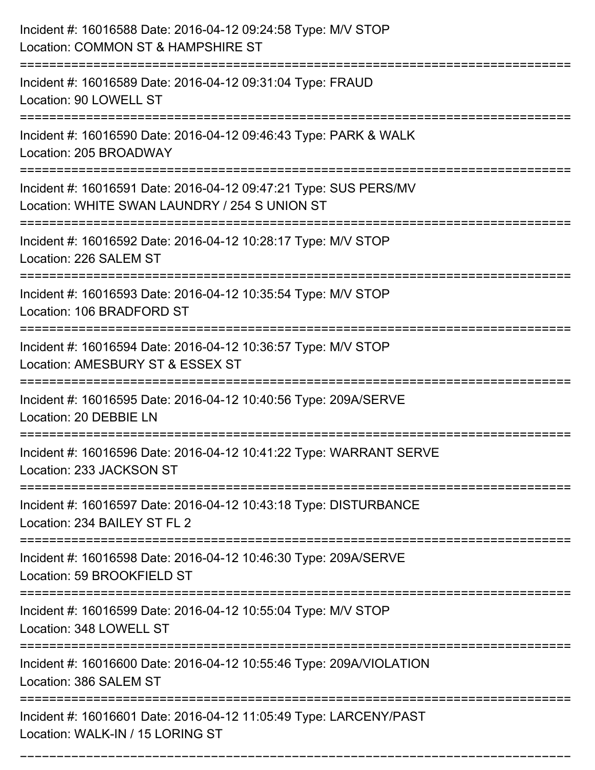| Incident #: 16016588 Date: 2016-04-12 09:24:58 Type: M/V STOP<br>Location: COMMON ST & HAMPSHIRE ST<br>:===================== |
|-------------------------------------------------------------------------------------------------------------------------------|
| Incident #: 16016589 Date: 2016-04-12 09:31:04 Type: FRAUD<br>Location: 90 LOWELL ST                                          |
| Incident #: 16016590 Date: 2016-04-12 09:46:43 Type: PARK & WALK<br>Location: 205 BROADWAY                                    |
| Incident #: 16016591 Date: 2016-04-12 09:47:21 Type: SUS PERS/MV<br>Location: WHITE SWAN LAUNDRY / 254 S UNION ST             |
| Incident #: 16016592 Date: 2016-04-12 10:28:17 Type: M/V STOP<br>Location: 226 SALEM ST                                       |
| Incident #: 16016593 Date: 2016-04-12 10:35:54 Type: M/V STOP<br>Location: 106 BRADFORD ST<br>================                |
| Incident #: 16016594 Date: 2016-04-12 10:36:57 Type: M/V STOP<br>Location: AMESBURY ST & ESSEX ST                             |
| Incident #: 16016595 Date: 2016-04-12 10:40:56 Type: 209A/SERVE<br>Location: 20 DEBBIE LN                                     |
| Incident #: 16016596 Date: 2016-04-12 10:41:22 Type: WARRANT SERVE<br>Location: 233 JACKSON ST                                |
| Incident #: 16016597 Date: 2016-04-12 10:43:18 Type: DISTURBANCE<br>Location: 234 BAILEY ST FL 2                              |
| Incident #: 16016598 Date: 2016-04-12 10:46:30 Type: 209A/SERVE<br>Location: 59 BROOKFIELD ST                                 |
| Incident #: 16016599 Date: 2016-04-12 10:55:04 Type: M/V STOP<br>Location: 348 LOWELL ST                                      |
| Incident #: 16016600 Date: 2016-04-12 10:55:46 Type: 209A/VIOLATION<br>Location: 386 SALEM ST                                 |
| Incident #: 16016601 Date: 2016-04-12 11:05:49 Type: LARCENY/PAST<br>Location: WALK-IN / 15 LORING ST                         |

===========================================================================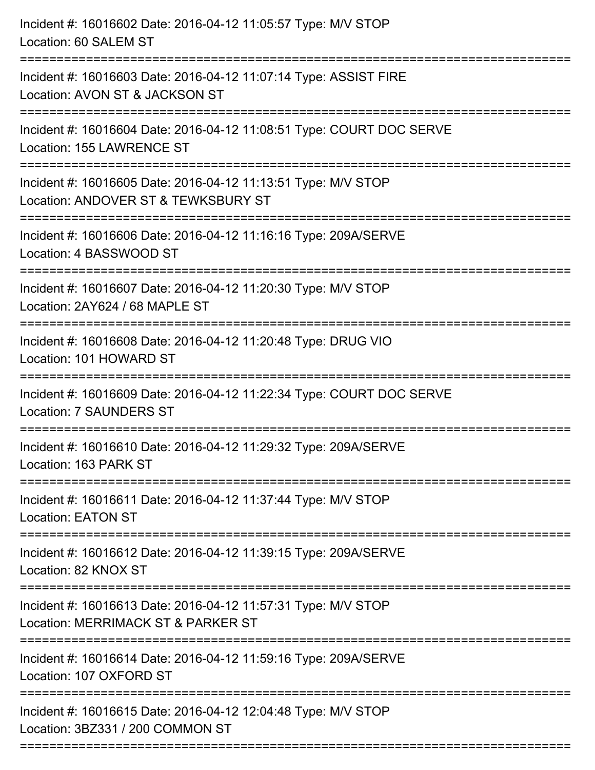| Incident #: 16016602 Date: 2016-04-12 11:05:57 Type: M/V STOP<br>Location: 60 SALEM ST                                         |
|--------------------------------------------------------------------------------------------------------------------------------|
| Incident #: 16016603 Date: 2016-04-12 11:07:14 Type: ASSIST FIRE<br>Location: AVON ST & JACKSON ST                             |
| Incident #: 16016604 Date: 2016-04-12 11:08:51 Type: COURT DOC SERVE<br>Location: 155 LAWRENCE ST<br>:======================== |
| Incident #: 16016605 Date: 2016-04-12 11:13:51 Type: M/V STOP<br>Location: ANDOVER ST & TEWKSBURY ST                           |
| Incident #: 16016606 Date: 2016-04-12 11:16:16 Type: 209A/SERVE<br>Location: 4 BASSWOOD ST                                     |
| Incident #: 16016607 Date: 2016-04-12 11:20:30 Type: M/V STOP<br>Location: 2AY624 / 68 MAPLE ST                                |
| Incident #: 16016608 Date: 2016-04-12 11:20:48 Type: DRUG VIO<br>Location: 101 HOWARD ST                                       |
| Incident #: 16016609 Date: 2016-04-12 11:22:34 Type: COURT DOC SERVE<br><b>Location: 7 SAUNDERS ST</b>                         |
| Incident #: 16016610 Date: 2016-04-12 11:29:32 Type: 209A/SERVE<br>Location: 163 PARK ST                                       |
| Incident #: 16016611 Date: 2016-04-12 11:37:44 Type: M/V STOP<br><b>Location: EATON ST</b>                                     |
| Incident #: 16016612 Date: 2016-04-12 11:39:15 Type: 209A/SERVE<br>Location: 82 KNOX ST                                        |
| Incident #: 16016613 Date: 2016-04-12 11:57:31 Type: M/V STOP<br>Location: MERRIMACK ST & PARKER ST                            |
| Incident #: 16016614 Date: 2016-04-12 11:59:16 Type: 209A/SERVE<br>Location: 107 OXFORD ST                                     |
| Incident #: 16016615 Date: 2016-04-12 12:04:48 Type: M/V STOP<br>Location: 3BZ331 / 200 COMMON ST                              |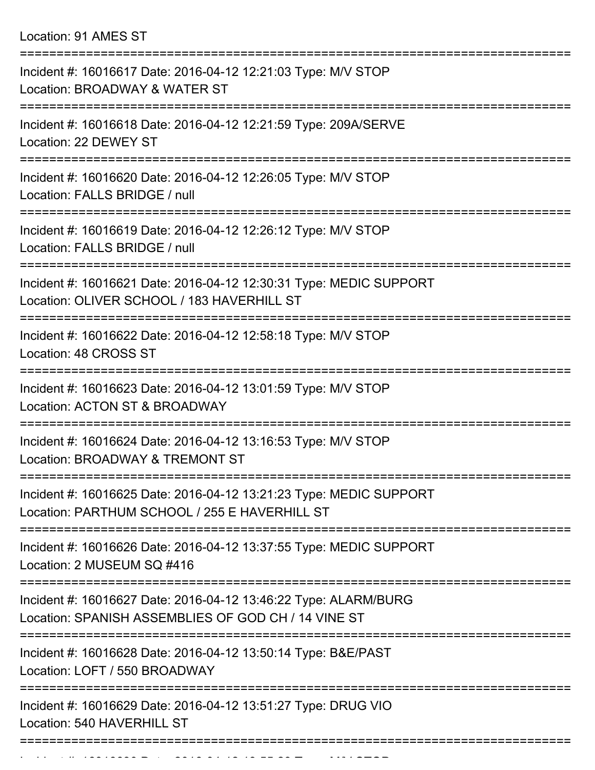Location: 91 AMES ST

| Incident #: 16016617 Date: 2016-04-12 12:21:03 Type: M/V STOP<br>Location: BROADWAY & WATER ST                         |
|------------------------------------------------------------------------------------------------------------------------|
| Incident #: 16016618 Date: 2016-04-12 12:21:59 Type: 209A/SERVE<br>Location: 22 DEWEY ST                               |
| Incident #: 16016620 Date: 2016-04-12 12:26:05 Type: M/V STOP<br>Location: FALLS BRIDGE / null                         |
| Incident #: 16016619 Date: 2016-04-12 12:26:12 Type: M/V STOP<br>Location: FALLS BRIDGE / null                         |
| Incident #: 16016621 Date: 2016-04-12 12:30:31 Type: MEDIC SUPPORT<br>Location: OLIVER SCHOOL / 183 HAVERHILL ST       |
| Incident #: 16016622 Date: 2016-04-12 12:58:18 Type: M/V STOP<br>Location: 48 CROSS ST                                 |
| Incident #: 16016623 Date: 2016-04-12 13:01:59 Type: M/V STOP<br>Location: ACTON ST & BROADWAY                         |
| Incident #: 16016624 Date: 2016-04-12 13:16:53 Type: M/V STOP<br>Location: BROADWAY & TREMONT ST                       |
| Incident #: 16016625 Date: 2016-04-12 13:21:23 Type: MEDIC SUPPORT<br>Location: PARTHUM SCHOOL / 255 E HAVERHILL ST    |
| Incident #: 16016626 Date: 2016-04-12 13:37:55 Type: MEDIC SUPPORT<br>Location: 2 MUSEUM SQ #416                       |
| Incident #: 16016627 Date: 2016-04-12 13:46:22 Type: ALARM/BURG<br>Location: SPANISH ASSEMBLIES OF GOD CH / 14 VINE ST |
| Incident #: 16016628 Date: 2016-04-12 13:50:14 Type: B&E/PAST<br>Location: LOFT / 550 BROADWAY                         |
| Incident #: 16016629 Date: 2016-04-12 13:51:27 Type: DRUG VIO<br>Location: 540 HAVERHILL ST                            |
|                                                                                                                        |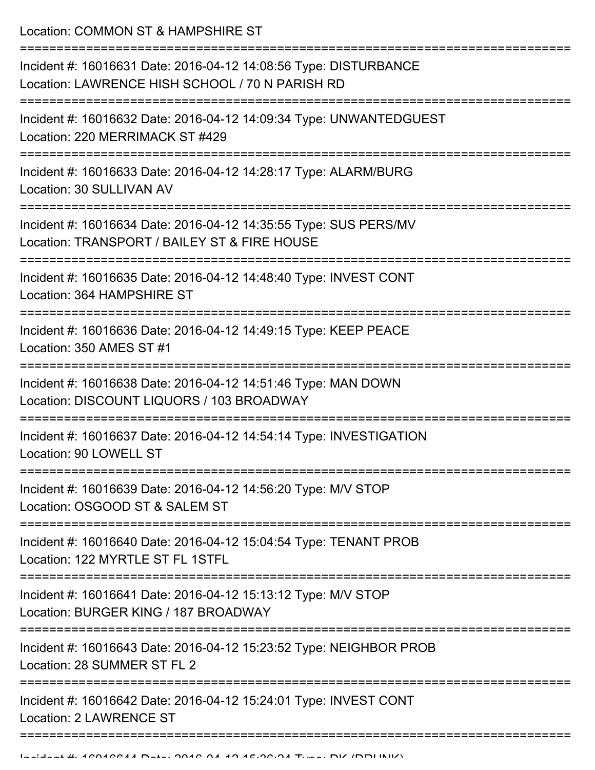Location: COMMON ST & HAMPSHIRE ST

| Incident #: 16016631 Date: 2016-04-12 14:08:56 Type: DISTURBANCE<br>Location: LAWRENCE HISH SCHOOL / 70 N PARISH RD |
|---------------------------------------------------------------------------------------------------------------------|
| Incident #: 16016632 Date: 2016-04-12 14:09:34 Type: UNWANTEDGUEST<br>Location: 220 MERRIMACK ST #429               |
| Incident #: 16016633 Date: 2016-04-12 14:28:17 Type: ALARM/BURG<br>Location: 30 SULLIVAN AV                         |
| Incident #: 16016634 Date: 2016-04-12 14:35:55 Type: SUS PERS/MV<br>Location: TRANSPORT / BAILEY ST & FIRE HOUSE    |
| Incident #: 16016635 Date: 2016-04-12 14:48:40 Type: INVEST CONT<br>Location: 364 HAMPSHIRE ST                      |
| Incident #: 16016636 Date: 2016-04-12 14:49:15 Type: KEEP PEACE<br>Location: 350 AMES ST #1                         |
| Incident #: 16016638 Date: 2016-04-12 14:51:46 Type: MAN DOWN<br>Location: DISCOUNT LIQUORS / 103 BROADWAY          |
| Incident #: 16016637 Date: 2016-04-12 14:54:14 Type: INVESTIGATION<br>Location: 90 LOWELL ST                        |
| Incident #: 16016639 Date: 2016-04-12 14:56:20 Type: M/V STOP<br>Location: OSGOOD ST & SALEM ST                     |
| Incident #: 16016640 Date: 2016-04-12 15:04:54 Type: TENANT PROB<br>Location: 122 MYRTLE ST FL 1STFL                |
| Incident #: 16016641 Date: 2016-04-12 15:13:12 Type: M/V STOP<br>Location: BURGER KING / 187 BROADWAY               |
| Incident #: 16016643 Date: 2016-04-12 15:23:52 Type: NEIGHBOR PROB<br>Location: 28 SUMMER ST FL 2                   |
| Incident #: 16016642 Date: 2016-04-12 15:24:01 Type: INVEST CONT<br><b>Location: 2 LAWRENCE ST</b>                  |
|                                                                                                                     |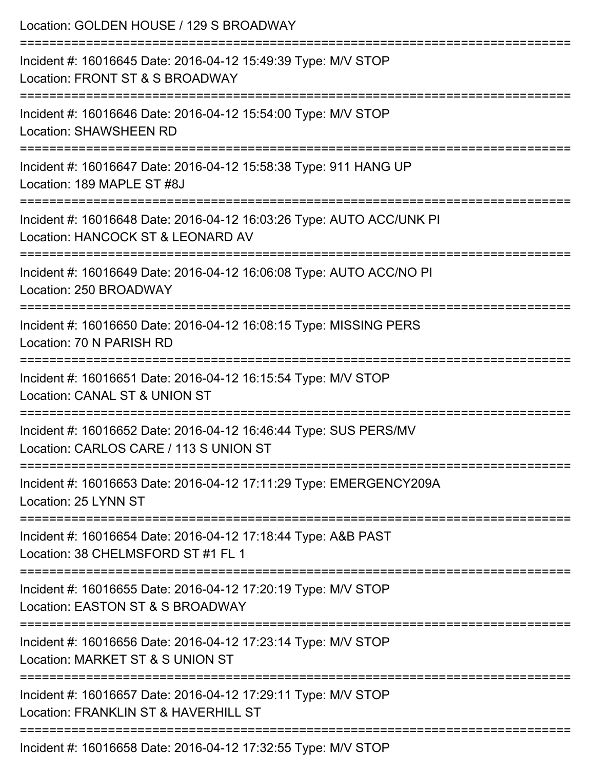| Location: GOLDEN HOUSE / 129 S BROADWAY                                                                                                 |
|-----------------------------------------------------------------------------------------------------------------------------------------|
| Incident #: 16016645 Date: 2016-04-12 15:49:39 Type: M/V STOP<br>Location: FRONT ST & S BROADWAY                                        |
| Incident #: 16016646 Date: 2016-04-12 15:54:00 Type: M/V STOP<br><b>Location: SHAWSHEEN RD</b>                                          |
| Incident #: 16016647 Date: 2016-04-12 15:58:38 Type: 911 HANG UP<br>Location: 189 MAPLE ST #8J                                          |
| Incident #: 16016648 Date: 2016-04-12 16:03:26 Type: AUTO ACC/UNK PI<br>Location: HANCOCK ST & LEONARD AV                               |
| Incident #: 16016649 Date: 2016-04-12 16:06:08 Type: AUTO ACC/NO PI<br>Location: 250 BROADWAY                                           |
| :=====================================<br>Incident #: 16016650 Date: 2016-04-12 16:08:15 Type: MISSING PERS<br>Location: 70 N PARISH RD |
| Incident #: 16016651 Date: 2016-04-12 16:15:54 Type: M/V STOP<br>Location: CANAL ST & UNION ST                                          |
| Incident #: 16016652 Date: 2016-04-12 16:46:44 Type: SUS PERS/MV<br>Location: CARLOS CARE / 113 S UNION ST                              |
| Incident #: 16016653 Date: 2016-04-12 17:11:29 Type: EMERGENCY209A<br>Location: 25 LYNN ST                                              |
| Incident #: 16016654 Date: 2016-04-12 17:18:44 Type: A&B PAST<br>Location: 38 CHELMSFORD ST #1 FL 1                                     |
| Incident #: 16016655 Date: 2016-04-12 17:20:19 Type: M/V STOP<br>Location: EASTON ST & S BROADWAY                                       |
| Incident #: 16016656 Date: 2016-04-12 17:23:14 Type: M/V STOP<br>Location: MARKET ST & S UNION ST                                       |
| Incident #: 16016657 Date: 2016-04-12 17:29:11 Type: M/V STOP<br>Location: FRANKLIN ST & HAVERHILL ST                                   |
| Incident #: 16016658 Date: 2016-04-12 17:32:55 Type: M/V STOP                                                                           |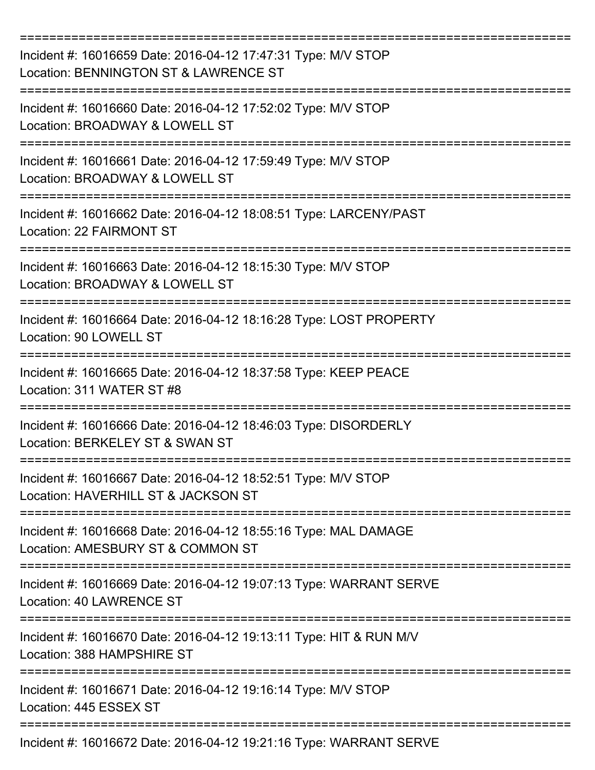| Incident #: 16016659 Date: 2016-04-12 17:47:31 Type: M/V STOP<br>Location: BENNINGTON ST & LAWRENCE ST |
|--------------------------------------------------------------------------------------------------------|
| Incident #: 16016660 Date: 2016-04-12 17:52:02 Type: M/V STOP<br>Location: BROADWAY & LOWELL ST        |
| Incident #: 16016661 Date: 2016-04-12 17:59:49 Type: M/V STOP<br>Location: BROADWAY & LOWELL ST        |
| Incident #: 16016662 Date: 2016-04-12 18:08:51 Type: LARCENY/PAST<br><b>Location: 22 FAIRMONT ST</b>   |
| Incident #: 16016663 Date: 2016-04-12 18:15:30 Type: M/V STOP<br>Location: BROADWAY & LOWELL ST        |
| Incident #: 16016664 Date: 2016-04-12 18:16:28 Type: LOST PROPERTY<br>Location: 90 LOWELL ST           |
| Incident #: 16016665 Date: 2016-04-12 18:37:58 Type: KEEP PEACE<br>Location: 311 WATER ST #8           |
| Incident #: 16016666 Date: 2016-04-12 18:46:03 Type: DISORDERLY<br>Location: BERKELEY ST & SWAN ST     |
| Incident #: 16016667 Date: 2016-04-12 18:52:51 Type: M/V STOP<br>Location: HAVERHILL ST & JACKSON ST   |
| Incident #: 16016668 Date: 2016-04-12 18:55:16 Type: MAL DAMAGE<br>Location: AMESBURY ST & COMMON ST   |
| Incident #: 16016669 Date: 2016-04-12 19:07:13 Type: WARRANT SERVE<br>Location: 40 LAWRENCE ST         |
| Incident #: 16016670 Date: 2016-04-12 19:13:11 Type: HIT & RUN M/V<br>Location: 388 HAMPSHIRE ST       |
| Incident #: 16016671 Date: 2016-04-12 19:16:14 Type: M/V STOP<br>Location: 445 ESSEX ST                |
| Incident #: 16016672 Date: 2016-04-12 19:21:16 Type: WARRANT SERVE                                     |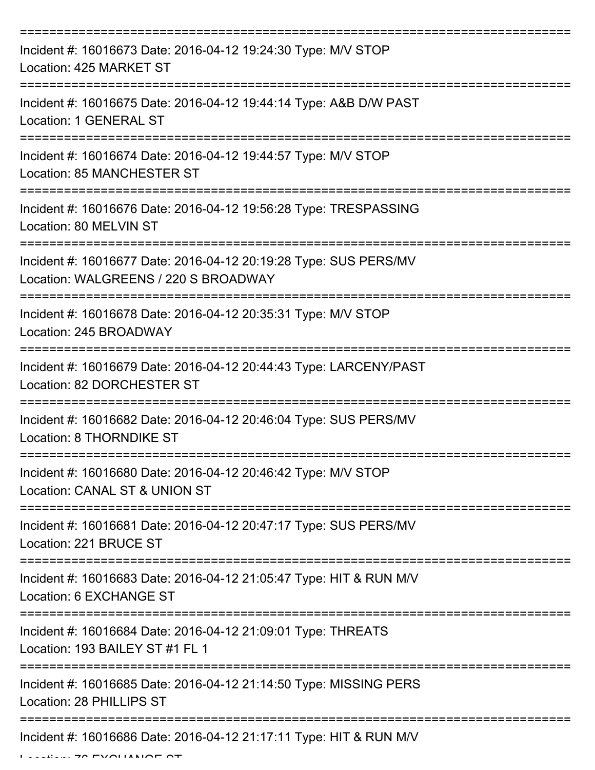| Incident #: 16016673 Date: 2016-04-12 19:24:30 Type: M/V STOP<br>Location: 425 MARKET ST                                      |
|-------------------------------------------------------------------------------------------------------------------------------|
| Incident #: 16016675 Date: 2016-04-12 19:44:14 Type: A&B D/W PAST<br>Location: 1 GENERAL ST                                   |
| Incident #: 16016674 Date: 2016-04-12 19:44:57 Type: M/V STOP<br>Location: 85 MANCHESTER ST                                   |
| Incident #: 16016676 Date: 2016-04-12 19:56:28 Type: TRESPASSING<br>Location: 80 MELVIN ST                                    |
| Incident #: 16016677 Date: 2016-04-12 20:19:28 Type: SUS PERS/MV<br>Location: WALGREENS / 220 S BROADWAY                      |
| Incident #: 16016678 Date: 2016-04-12 20:35:31 Type: M/V STOP<br>Location: 245 BROADWAY                                       |
| Incident #: 16016679 Date: 2016-04-12 20:44:43 Type: LARCENY/PAST<br>Location: 82 DORCHESTER ST                               |
| Incident #: 16016682 Date: 2016-04-12 20:46:04 Type: SUS PERS/MV<br>Location: 8 THORNDIKE ST                                  |
| Incident #: 16016680 Date: 2016-04-12 20:46:42 Type: M/V STOP<br>Location: CANAL ST & UNION ST                                |
| ===============================<br>Incident #: 16016681 Date: 2016-04-12 20:47:17 Type: SUS PERS/MV<br>Location: 221 BRUCE ST |
| Incident #: 16016683 Date: 2016-04-12 21:05:47 Type: HIT & RUN M/V<br>Location: 6 EXCHANGE ST                                 |
| Incident #: 16016684 Date: 2016-04-12 21:09:01 Type: THREATS<br>Location: 193 BAILEY ST #1 FL 1                               |
| Incident #: 16016685 Date: 2016-04-12 21:14:50 Type: MISSING PERS<br>Location: 28 PHILLIPS ST                                 |
| Incident #: 16016686 Date: 2016-04-12 21:17:11 Type: HIT & RUN M/V                                                            |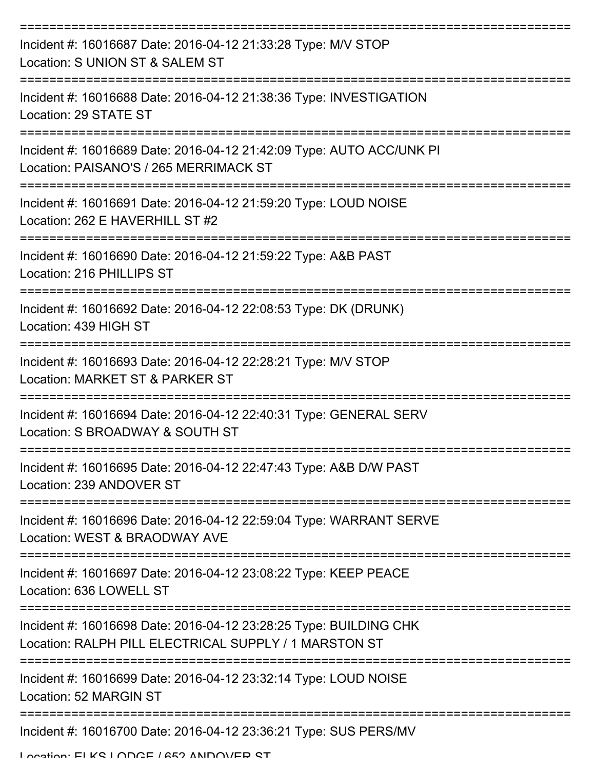| Incident #: 16016687 Date: 2016-04-12 21:33:28 Type: M/V STOP<br>Location: S UNION ST & SALEM ST                           |
|----------------------------------------------------------------------------------------------------------------------------|
| Incident #: 16016688 Date: 2016-04-12 21:38:36 Type: INVESTIGATION<br>Location: 29 STATE ST                                |
| Incident #: 16016689 Date: 2016-04-12 21:42:09 Type: AUTO ACC/UNK PI<br>Location: PAISANO'S / 265 MERRIMACK ST             |
| Incident #: 16016691 Date: 2016-04-12 21:59:20 Type: LOUD NOISE<br>Location: 262 E HAVERHILL ST #2                         |
| Incident #: 16016690 Date: 2016-04-12 21:59:22 Type: A&B PAST<br>Location: 216 PHILLIPS ST                                 |
| Incident #: 16016692 Date: 2016-04-12 22:08:53 Type: DK (DRUNK)<br>Location: 439 HIGH ST                                   |
| Incident #: 16016693 Date: 2016-04-12 22:28:21 Type: M/V STOP<br>Location: MARKET ST & PARKER ST                           |
| Incident #: 16016694 Date: 2016-04-12 22:40:31 Type: GENERAL SERV<br>Location: S BROADWAY & SOUTH ST                       |
| Incident #: 16016695 Date: 2016-04-12 22:47:43 Type: A&B D/W PAST<br>Location: 239 ANDOVER ST                              |
| Incident #: 16016696 Date: 2016-04-12 22:59:04 Type: WARRANT SERVE<br>Location: WEST & BRAODWAY AVE                        |
| Incident #: 16016697 Date: 2016-04-12 23:08:22 Type: KEEP PEACE<br>Location: 636 LOWELL ST                                 |
| Incident #: 16016698 Date: 2016-04-12 23:28:25 Type: BUILDING CHK<br>Location: RALPH PILL ELECTRICAL SUPPLY / 1 MARSTON ST |
| Incident #: 16016699 Date: 2016-04-12 23:32:14 Type: LOUD NOISE<br>Location: 52 MARGIN ST                                  |
| Incident #: 16016700 Date: 2016-04-12 23:36:21 Type: SUS PERS/MV                                                           |

Location: ELKS LODGE / 652 ANDOVED ST